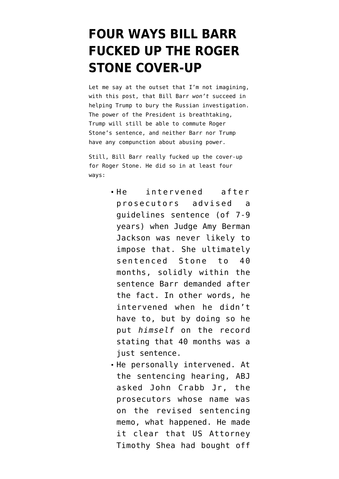## **[FOUR WAYS BILL BARR](https://www.emptywheel.net/2020/02/20/four-ways-bill-barr-fucked-up-the-roger-stone-cover-up/) [FUCKED UP THE ROGER](https://www.emptywheel.net/2020/02/20/four-ways-bill-barr-fucked-up-the-roger-stone-cover-up/) [STONE COVER-UP](https://www.emptywheel.net/2020/02/20/four-ways-bill-barr-fucked-up-the-roger-stone-cover-up/)**

Let me say at the outset that I'm not imagining, with this post, that Bill Barr *won't* succeed in helping Trump to bury the Russian investigation. The power of the President is breathtaking, Trump will still be able to commute Roger Stone's sentence, and neither Barr nor Trump have any compunction about abusing power.

Still, Bill Barr really fucked up the cover-up for Roger Stone. He did so in at least four ways:

- He intervened after prosecutors advised a guidelines sentence (of 7-9 years) when Judge Amy Berman Jackson was never likely to impose that. She ultimately sentenced Stone to 40 months, solidly within the sentence Barr demanded after the fact. In other words, he intervened when he didn't have to, but by doing so he put *himself* on the record stating that 40 months was a just sentence.
- He personally intervened. At the sentencing hearing, ABJ asked John Crabb Jr, the prosecutors whose name was on the revised sentencing memo, what happened. He made it clear that US Attorney Timothy Shea had bought off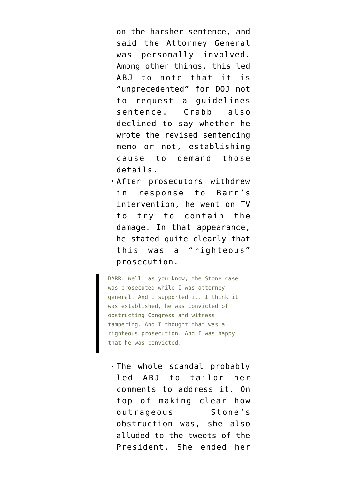on the harsher sentence, and said the Attorney General was personally involved. Among other things, this led ABJ to note that it is "unprecedented" for DOJ not to request a guidelines sentence. Crabb also declined to say whether he wrote the revised sentencing memo or not, establishing cause to demand those details.

After prosecutors withdrew in response to Barr's intervention, he went on TV to try to contain the damage. In that appearance, he [stated](https://abcnews.go.com/Politics/transcript-attorney-general-bill-barrs-exclusive-interview-abc/story?id=68975178) quite clearly that this was a "righteous" prosecution.

BARR: Well, as you know, the Stone case was prosecuted while I was attorney general. And I supported it. I think it was established, he was convicted of obstructing Congress and witness tampering. And I thought that was a righteous prosecution. And I was happy that he was convicted.

The whole scandal probably led ABJ to tailor her comments to address it. On top of making clear how outrageous Stone's obstruction was, she also alluded to the tweets of the President. She ended her